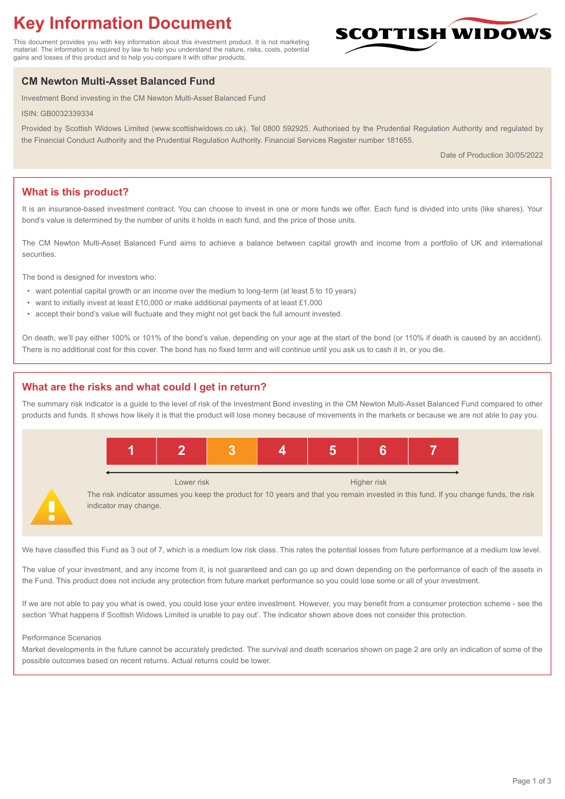# **Key Information Document**

This document provides you with key information about this investment product. It is not marketing material. The information is required by law to help you understand the nature, risks, costs, potential gains and losses of this product and to help you compare it with other products.

## **CM Newton Multi-Asset Balanced Fund**

Investment Bond investing in the CM Newton Multi-Asset Balanced Fund

ISIN: GB0032339334

Provided by Scottish Widows Limited (www.scottishwidows.co.uk). Tel 0800 592925. Authorised by the Prudential Regulation Authority and regulated by the Financial Conduct Authority and the Prudential Regulation Authority. Financial Services Register number 181655.

Date of Production 30/05/2022

**SCOTTISH WIDOW** 

## **What is this product?**

It is an insurance-based investment contract. You can choose to invest in one or more funds we offer. Each fund is divided into units (like shares). Your bond's value is determined by the number of units it holds in each fund, and the price of those units.

The CM Newton Multi-Asset Balanced Fund aims to achieve a balance between capital growth and income from a portfolio of UK and international securities.

The bond is designed for investors who:

- want potential capital growth or an income over the medium to long-term (at least 5 to 10 years)
- want to initially invest at least £10,000 or make additional payments of at least £1,000
- accept their bond's value will fluctuate and they might not get back the full amount invested.

On death, we'll pay either 100% or 101% of the bond's value, depending on your age at the start of the bond (or 110% if death is caused by an accident). There is no additional cost for this cover. The bond has no fixed term and will continue until you ask us to cash it in, or you die.

## **What are the risks and what could I get in return?**

The summary risk indicator is a guide to the level of risk of the Investment Bond investing in the CM Newton Multi-Asset Balanced Fund compared to other products and funds. It shows how likely it is that the product will lose money because of movements in the markets or because we are not able to pay you.



We have classified this Fund as 3 out of 7, which is a medium low risk class. This rates the potential losses from future performance at a medium low level.

The value of your investment, and any income from it, is not guaranteed and can go up and down depending on the performance of each of the assets in the Fund. This product does not include any protection from future market performance so you could lose some or all of your investment.

If we are not able to pay you what is owed, you could lose your entire investment. However, you may benefit from a consumer protection scheme - see the section 'What happens if Scottish Widows Limited is unable to pay out'. The indicator shown above does not consider this protection.

#### Performance Scenarios

Market developments in the future cannot be accurately predicted. The survival and death scenarios shown on page 2 are only an indication of some of the possible outcomes based on recent returns. Actual returns could be lower.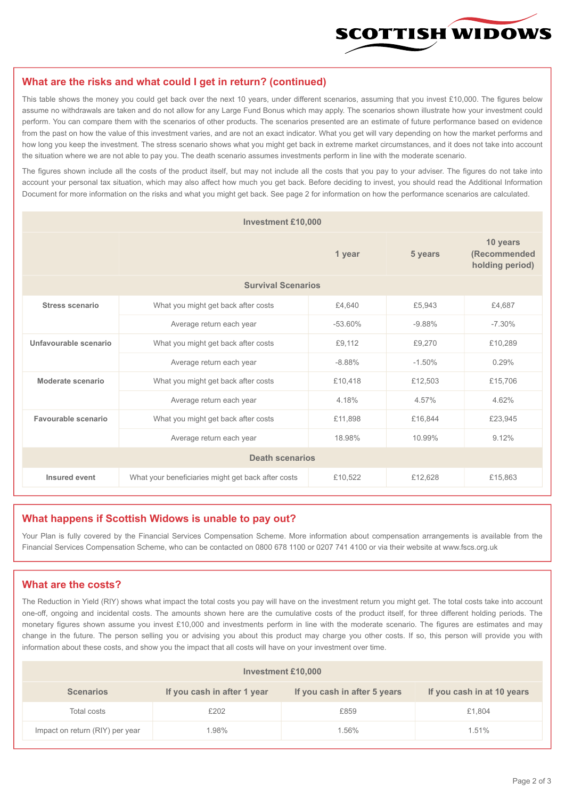

#### **What are the risks and what could I get in return? (continued)**

This table shows the money you could get back over the next 10 years, under different scenarios, assuming that you invest £10,000. The figures below assume no withdrawals are taken and do not allow for any Large Fund Bonus which may apply. The scenarios shown illustrate how your investment could perform. You can compare them with the scenarios of other products. The scenarios presented are an estimate of future performance based on evidence from the past on how the value of this investment varies, and are not an exact indicator. What you get will vary depending on how the market performs and how long you keep the investment. The stress scenario shows what you might get back in extreme market circumstances, and it does not take into account the situation where we are not able to pay you. The death scenario assumes investments perform in line with the moderate scenario.

The figures shown include all the costs of the product itself, but may not include all the costs that you pay to your adviser. The figures do not take into account your personal tax situation, which may also affect how much you get back. Before deciding to invest, you should read the Additional Information Document for more information on the risks and what you might get back. See page 2 for information on how the performance scenarios are calculated.

| <b>Investment £10,000</b> |                                                    |          |          |                                             |  |  |
|---------------------------|----------------------------------------------------|----------|----------|---------------------------------------------|--|--|
|                           | 1 year                                             |          | 5 years  | 10 years<br>(Recommended<br>holding period) |  |  |
| <b>Survival Scenarios</b> |                                                    |          |          |                                             |  |  |
| <b>Stress scenario</b>    | What you might get back after costs<br>£4.640      |          | £5,943   | £4,687                                      |  |  |
|                           | Average return each year<br>$-53.60%$              |          | $-9.88%$ | $-7.30%$                                    |  |  |
| Unfavourable scenario     | What you might get back after costs<br>£9,112      |          | £9,270   | £10,289                                     |  |  |
|                           | Average return each year                           | $-8.88%$ | $-1.50%$ | 0.29%                                       |  |  |
| Moderate scenario         | What you might get back after costs                | £10,418  | £12,503  | £15,706                                     |  |  |
|                           | Average return each year                           | 4.18%    | 4.57%    | 4.62%                                       |  |  |
| Favourable scenario       | What you might get back after costs                | £11,898  | £16,844  | £23,945                                     |  |  |
| Average return each year  |                                                    | 18.98%   | 10.99%   | 9.12%                                       |  |  |
| <b>Death scenarios</b>    |                                                    |          |          |                                             |  |  |
| Insured event             | What your beneficiaries might get back after costs | £10,522  | £12,628  | £15,863                                     |  |  |

#### **What happens if Scottish Widows is unable to pay out?**

Your Plan is fully covered by the Financial Services Compensation Scheme. More information about compensation arrangements is available from the Financial Services Compensation Scheme, who can be contacted on 0800 678 1100 or 0207 741 4100 or via their website at www.fscs.org.uk

#### **What are the costs?**

The Reduction in Yield (RIY) shows what impact the total costs you pay will have on the investment return you might get. The total costs take into account one-off, ongoing and incidental costs. The amounts shown here are the cumulative costs of the product itself, for three different holding periods. The monetary figures shown assume you invest £10,000 and investments perform in line with the moderate scenario. The figures are estimates and may change in the future. The person selling you or advising you about this product may charge you other costs. If so, this person will provide you with information about these costs, and show you the impact that all costs will have on your investment over time.

| Investment £10,000              |                             |                              |                            |  |  |  |
|---------------------------------|-----------------------------|------------------------------|----------------------------|--|--|--|
| <b>Scenarios</b>                | If you cash in after 1 year | If you cash in after 5 years | If you cash in at 10 years |  |  |  |
| Total costs                     | £202                        | £859                         | £1,804                     |  |  |  |
| Impact on return (RIY) per year | 1.98%                       | 1.56%                        | 1.51%                      |  |  |  |